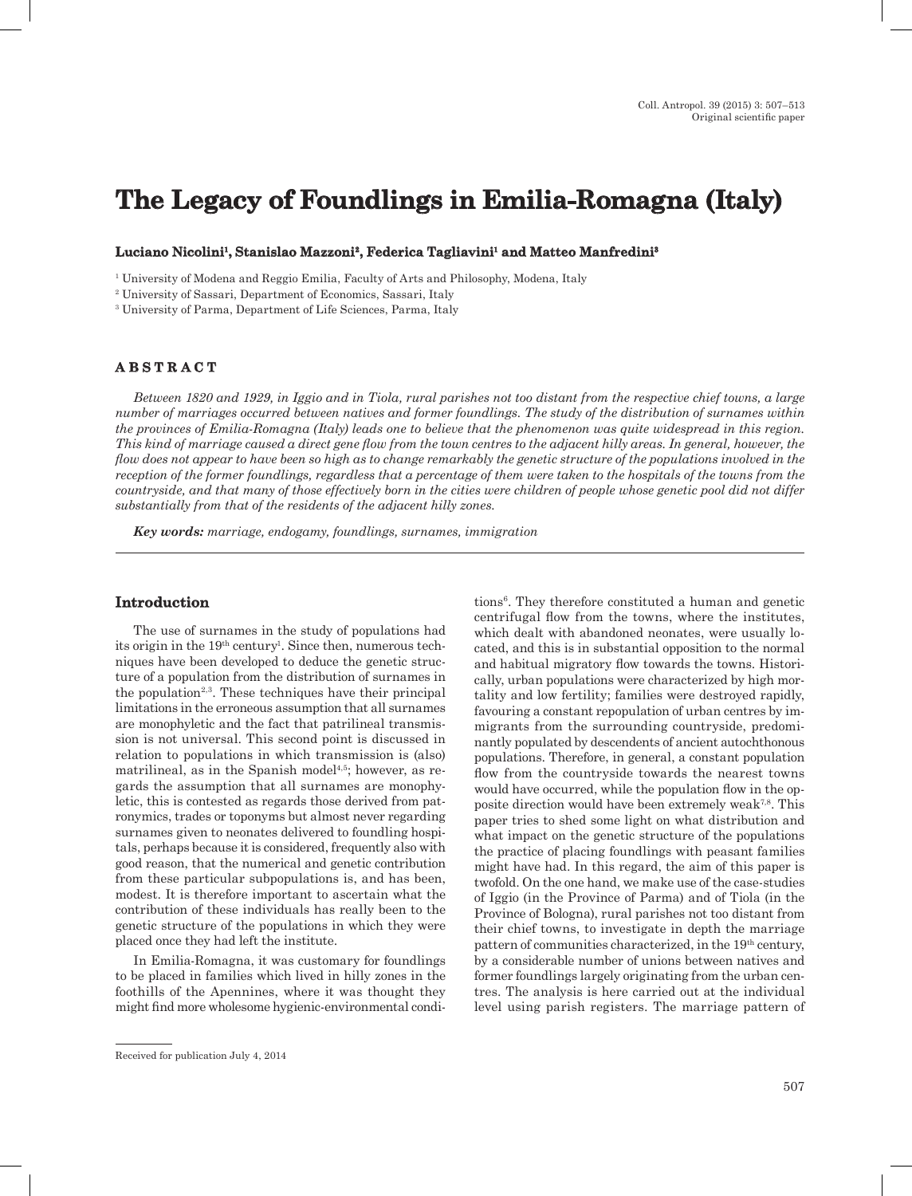# **The Legacy of Foundlings in Emilia-Romagna (Italy)**

#### **Luciano Nicolini1, Stanislao Mazzoni2, Federica Tagliavini1 and Matteo Manfredini3**

1 University of Modena and Reggio Emilia, Faculty of Arts and Philosophy, Modena, Italy

2 University of Sassari, Department of Economics, Sassari, Italy

3 University of Parma, Department of Life Sciences, Parma, Italy

# **A B S T R A C T**

*Between 1820 and 1929, in Iggio and in Tiola, rural parishes not too distant from the respective chief towns, a large number of marriages occurred between natives and former foundlings. The study of the distribution of surnames within the provinces of Emilia-Romagna (Italy) leads one to believe that the phenomenon was quite widespread in this region. This kind of marriage caused a direct gene flow from the town centres to the adjacent hilly areas. In general, however, the flow does not appear to have been so high as to change remarkably the genetic structure of the populations involved in the reception of the former foundlings, regardless that a percentage of them were taken to the hospitals of the towns from the countryside, and that many of those effectively born in the cities were children of people whose genetic pool did not differ substantially from that of the residents of the adjacent hilly zones.*

*Key words: marriage, endogamy, foundlings, surnames, immigration*

## **Introduction**

The use of surnames in the study of populations had its origin in the 19<sup>th</sup> century<sup>1</sup>. Since then, numerous techniques have been developed to deduce the genetic structure of a population from the distribution of surnames in the population<sup> $2,3$ </sup>. These techniques have their principal limitations in the erroneous assumption that all surnames are monophyletic and the fact that patrilineal transmission is not universal. This second point is discussed in relation to populations in which transmission is (also) matrilineal, as in the Spanish model<sup>4,5</sup>; however, as regards the assumption that all surnames are monophyletic, this is contested as regards those derived from patronymics, trades or toponyms but almost never regarding surnames given to neonates delivered to foundling hospitals, perhaps because it is considered, frequently also with good reason, that the numerical and genetic contribution from these particular subpopulations is, and has been, modest. It is therefore important to ascertain what the contribution of these individuals has really been to the genetic structure of the populations in which they were placed once they had left the institute.

In Emilia-Romagna, it was customary for foundlings to be placed in families which lived in hilly zones in the foothills of the Apennines, where it was thought they might find more wholesome hygienic-environmental condi-

tions<sup>6</sup>. They therefore constituted a human and genetic centrifugal flow from the towns, where the institutes, which dealt with abandoned neonates, were usually located, and this is in substantial opposition to the normal and habitual migratory flow towards the towns. Historically, urban populations were characterized by high mortality and low fertility; families were destroyed rapidly, favouring a constant repopulation of urban centres by immigrants from the surrounding countryside, predominantly populated by descendents of ancient autochthonous populations. Therefore, in general, a constant population flow from the countryside towards the nearest towns would have occurred, while the population flow in the opposite direction would have been extremely weak7,8. This paper tries to shed some light on what distribution and what impact on the genetic structure of the populations the practice of placing foundlings with peasant families might have had. In this regard, the aim of this paper is twofold. On the one hand, we make use of the case-studies of Iggio (in the Province of Parma) and of Tiola (in the Province of Bologna), rural parishes not too distant from their chief towns, to investigate in depth the marriage pattern of communities characterized, in the 19th century, by a considerable number of unions between natives and former foundlings largely originating from the urban centres. The analysis is here carried out at the individual level using parish registers. The marriage pattern of

Received for publication July 4, 2014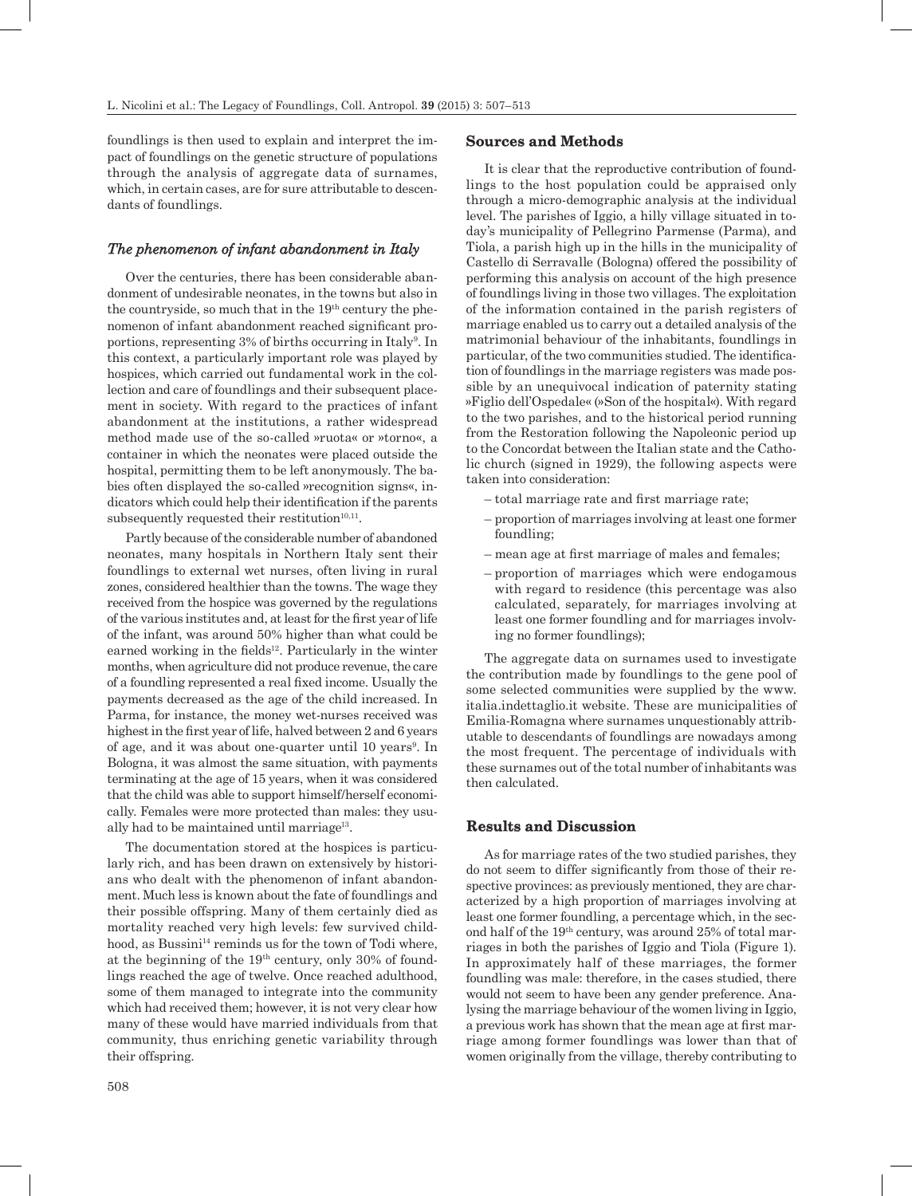foundlings is then used to explain and interpret the impact of foundlings on the genetic structure of populations through the analysis of aggregate data of surnames, which, in certain cases, are for sure attributable to descendants of foundlings.

# *The phenomenon of infant abandonment in Italy*

Over the centuries, there has been considerable abandonment of undesirable neonates, in the towns but also in the countryside, so much that in the 19th century the phenomenon of infant abandonment reached significant proportions, representing 3% of births occurring in Italy<sup>9</sup>. In this context, a particularly important role was played by hospices, which carried out fundamental work in the collection and care of foundlings and their subsequent placement in society. With regard to the practices of infant abandonment at the institutions, a rather widespread method made use of the so-called »ruota« or »torno«, a container in which the neonates were placed outside the hospital, permitting them to be left anonymously. The babies often displayed the so-called »recognition signs«, indicators which could help their identification if the parents subsequently requested their restitution $10,11$ .

Partly because of the considerable number of abandoned neonates, many hospitals in Northern Italy sent their foundlings to external wet nurses, often living in rural zones, considered healthier than the towns. The wage they received from the hospice was governed by the regulations of the various institutes and, at least for the first year of life of the infant, was around 50% higher than what could be earned working in the fields $12$ . Particularly in the winter months, when agriculture did not produce revenue, the care of a foundling represented a real fixed income. Usually the payments decreased as the age of the child increased. In Parma, for instance, the money wet-nurses received was highest in the first year of life, halved between 2 and 6 years of age, and it was about one-quarter until 10 years<sup>9</sup>. In Bologna, it was almost the same situation, with payments terminating at the age of 15 years, when it was considered that the child was able to support himself/herself economically. Females were more protected than males: they usually had to be maintained until marriage<sup>13</sup>.

The documentation stored at the hospices is particularly rich, and has been drawn on extensively by historians who dealt with the phenomenon of infant abandonment. Much less is known about the fate of foundlings and their possible offspring. Many of them certainly died as mortality reached very high levels: few survived childhood, as Bussini<sup>14</sup> reminds us for the town of Todi where, at the beginning of the  $19<sup>th</sup>$  century, only 30% of foundlings reached the age of twelve. Once reached adulthood, some of them managed to integrate into the community which had received them; however, it is not very clear how many of these would have married individuals from that community, thus enriching genetic variability through their offspring.

# **Sources and Methods**

It is clear that the reproductive contribution of foundlings to the host population could be appraised only through a micro-demographic analysis at the individual level. The parishes of Iggio, a hilly village situated in today's municipality of Pellegrino Parmense (Parma), and Tiola, a parish high up in the hills in the municipality of Castello di Serravalle (Bologna) offered the possibility of performing this analysis on account of the high presence of foundlings living in those two villages. The exploitation of the information contained in the parish registers of marriage enabled us to carry out a detailed analysis of the matrimonial behaviour of the inhabitants, foundlings in particular, of the two communities studied. The identification of foundlings in the marriage registers was made possible by an unequivocal indication of paternity stating »Figlio dell'Ospedale« (»Son of the hospital«). With regard to the two parishes, and to the historical period running from the Restoration following the Napoleonic period up to the Concordat between the Italian state and the Catholic church (signed in 1929), the following aspects were taken into consideration:

- total marriage rate and first marriage rate;
- proportion of marriages involving at least one former foundling;
- mean age at first marriage of males and females;
- proportion of marriages which were endogamous with regard to residence (this percentage was also calculated, separately, for marriages involving at least one former foundling and for marriages involving no former foundlings);

The aggregate data on surnames used to investigate the contribution made by foundlings to the gene pool of some selected communities were supplied by the www. italia.indettaglio.it website. These are municipalities of Emilia-Romagna where surnames unquestionably attributable to descendants of foundlings are nowadays among the most frequent. The percentage of individuals with these surnames out of the total number of inhabitants was then calculated.

#### **Results and Discussion**

As for marriage rates of the two studied parishes, they do not seem to differ significantly from those of their respective provinces: as previously mentioned, they are characterized by a high proportion of marriages involving at least one former foundling, a percentage which, in the second half of the 19th century, was around 25% of total marriages in both the parishes of Iggio and Tiola (Figure 1). In approximately half of these marriages, the former foundling was male: therefore, in the cases studied, there would not seem to have been any gender preference. Analysing the marriage behaviour of the women living in Iggio, a previous work has shown that the mean age at first marriage among former foundlings was lower than that of women originally from the village, thereby contributing to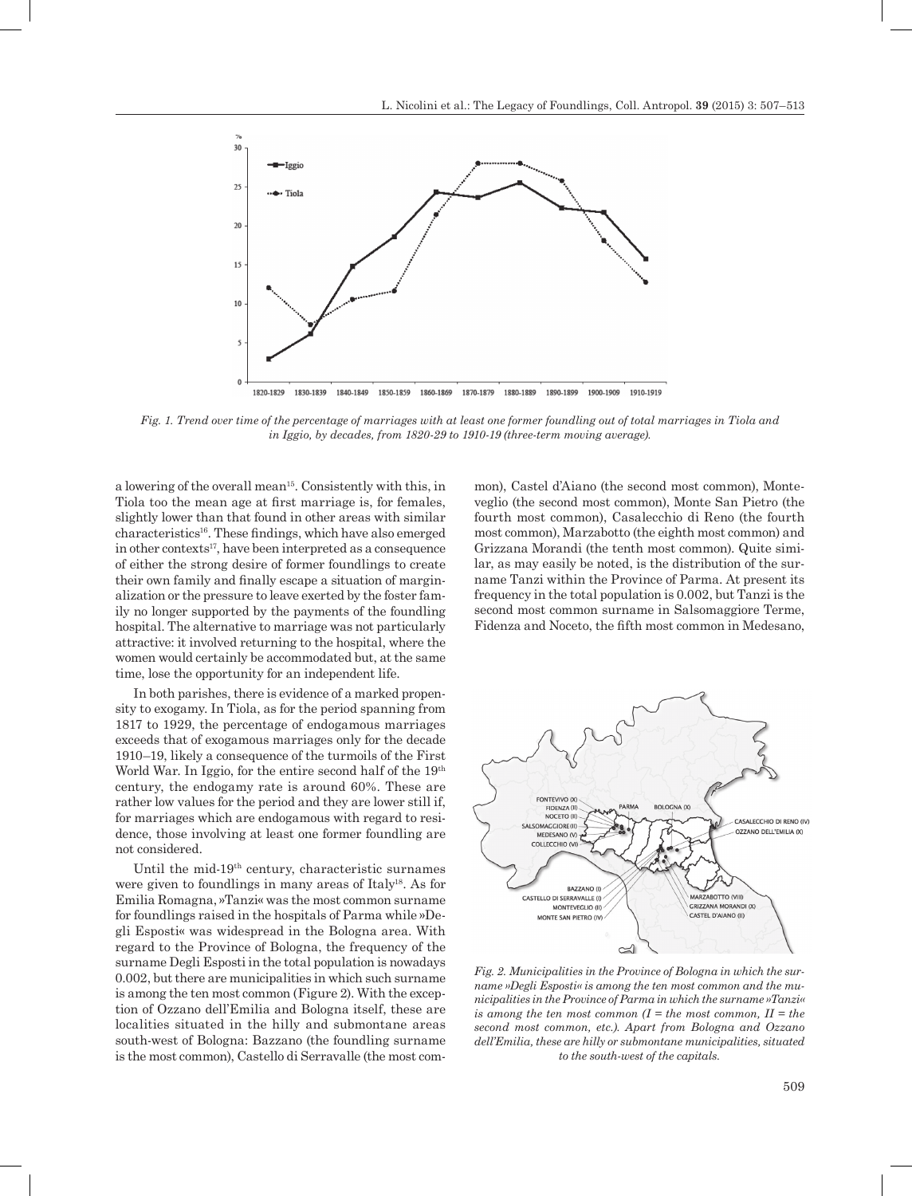

*Fig. 1. Trend over time of the percentage of marriages with at least one former foundling out of total marriages in Tiola and in Iggio, by decades, from 1820-29 to 1910-19 (three-term moving average).*

a lowering of the overall mean15. Consistently with this, in Tiola too the mean age at first marriage is, for females, slightly lower than that found in other areas with similar characteristics16. These findings, which have also emerged in other contexts<sup>17</sup>, have been interpreted as a consequence of either the strong desire of former foundlings to create their own family and finally escape a situation of marginalization or the pressure to leave exerted by the foster family no longer supported by the payments of the foundling hospital. The alternative to marriage was not particularly attractive: it involved returning to the hospital, where the women would certainly be accommodated but, at the same time, lose the opportunity for an independent life.

In both parishes, there is evidence of a marked propensity to exogamy. In Tiola, as for the period spanning from 1817 to 1929, the percentage of endogamous marriages exceeds that of exogamous marriages only for the decade 1910–19, likely a consequence of the turmoils of the First World War. In Iggio, for the entire second half of the 19<sup>th</sup> century, the endogamy rate is around 60%. These are rather low values for the period and they are lower still if, for marriages which are endogamous with regard to residence, those involving at least one former foundling are not considered.

Until the mid-19th century, characteristic surnames were given to foundlings in many areas of Italy18. As for Emilia Romagna, »Tanzi« was the most common surname for foundlings raised in the hospitals of Parma while »Degli Esposti« was widespread in the Bologna area. With regard to the Province of Bologna, the frequency of the surname Degli Esposti in the total population is nowadays 0.002, but there are municipalities in which such surname is among the ten most common (Figure 2). With the exception of Ozzano dell'Emilia and Bologna itself, these are localities situated in the hilly and submontane areas south-west of Bologna: Bazzano (the foundling surname is the most common), Castello di Serravalle (the most com-

mon), Castel d'Aiano (the second most common), Monteveglio (the second most common), Monte San Pietro (the fourth most common), Casalecchio di Reno (the fourth most common), Marzabotto (the eighth most common) and Grizzana Morandi (the tenth most common). Quite similar, as may easily be noted, is the distribution of the surname Tanzi within the Province of Parma. At present its frequency in the total population is 0.002, but Tanzi is the second most common surname in Salsomaggiore Terme, Fidenza and Noceto, the fifth most common in Medesano,



*Fig. 2. Municipalities in the Province of Bologna in which the surname »Degli Esposti« is among the ten most common and the municipalities in the Province of Parma in which the surname »Tanzi« is among the ten most common (I = the most common, II = the second most common, etc.). Apart from Bologna and Ozzano dell'Emilia, these are hilly or submontane municipalities, situated to the south-west of the capitals.*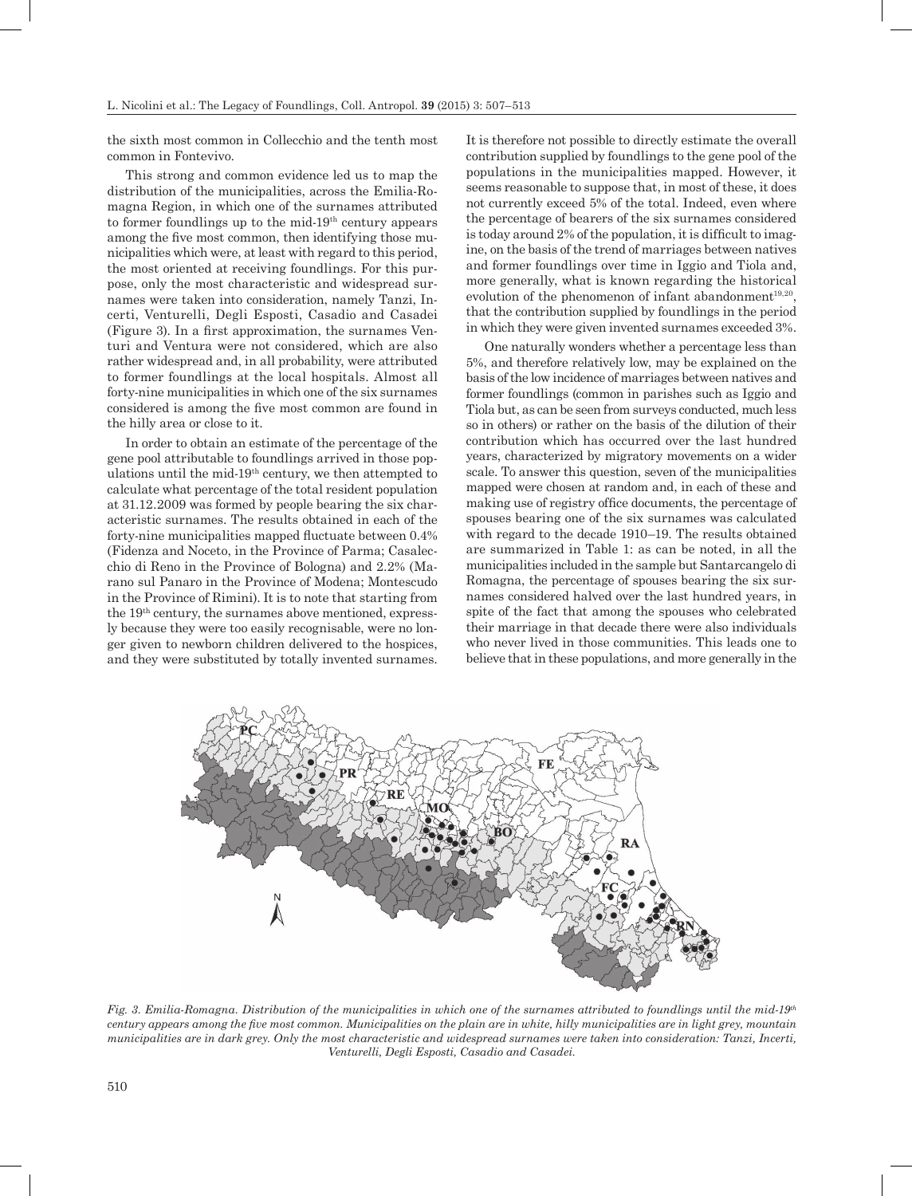the sixth most common in Collecchio and the tenth most common in Fontevivo.

This strong and common evidence led us to map the distribution of the municipalities, across the Emilia-Romagna Region, in which one of the surnames attributed to former foundlings up to the mid-19th century appears among the five most common, then identifying those municipalities which were, at least with regard to this period, the most oriented at receiving foundlings. For this purpose, only the most characteristic and widespread surnames were taken into consideration, namely Tanzi, Incerti, Venturelli, Degli Esposti, Casadio and Casadei (Figure 3). In a first approximation, the surnames Venturi and Ventura were not considered, which are also rather widespread and, in all probability, were attributed to former foundlings at the local hospitals. Almost all forty-nine municipalities in which one of the six surnames considered is among the five most common are found in the hilly area or close to it.

In order to obtain an estimate of the percentage of the gene pool attributable to foundlings arrived in those populations until the mid-19th century, we then attempted to calculate what percentage of the total resident population at 31.12.2009 was formed by people bearing the six characteristic surnames. The results obtained in each of the forty-nine municipalities mapped fluctuate between 0.4% (Fidenza and Noceto, in the Province of Parma; Casalecchio di Reno in the Province of Bologna) and 2.2% (Marano sul Panaro in the Province of Modena; Montescudo in the Province of Rimini). It is to note that starting from the 19th century, the surnames above mentioned, expressly because they were too easily recognisable, were no longer given to newborn children delivered to the hospices, and they were substituted by totally invented surnames.

It is therefore not possible to directly estimate the overall contribution supplied by foundlings to the gene pool of the populations in the municipalities mapped. However, it seems reasonable to suppose that, in most of these, it does not currently exceed 5% of the total. Indeed, even where the percentage of bearers of the six surnames considered is today around 2% of the population, it is difficult to imagine, on the basis of the trend of marriages between natives and former foundlings over time in Iggio and Tiola and, more generally, what is known regarding the historical evolution of the phenomenon of infant abandonment $19,20$ , that the contribution supplied by foundlings in the period in which they were given invented surnames exceeded 3%.

One naturally wonders whether a percentage less than 5%, and therefore relatively low, may be explained on the basis of the low incidence of marriages between natives and former foundlings (common in parishes such as Iggio and Tiola but, as can be seen from surveys conducted, much less so in others) or rather on the basis of the dilution of their contribution which has occurred over the last hundred years, characterized by migratory movements on a wider scale. To answer this question, seven of the municipalities mapped were chosen at random and, in each of these and making use of registry office documents, the percentage of spouses bearing one of the six surnames was calculated with regard to the decade 1910–19. The results obtained are summarized in Table 1: as can be noted, in all the municipalities included in the sample but Santarcangelo di Romagna, the percentage of spouses bearing the six surnames considered halved over the last hundred years, in spite of the fact that among the spouses who celebrated their marriage in that decade there were also individuals who never lived in those communities. This leads one to believe that in these populations, and more generally in the



*Fig. 3. Emilia-Romagna. Distribution of the municipalities in which one of the surnames attributed to foundlings until the mid-19th century appears among the five most common. Municipalities on the plain are in white, hilly municipalities are in light grey, mountain municipalities are in dark grey. Only the most characteristic and widespread surnames were taken into consideration: Tanzi, Incerti, Venturelli, Degli Esposti, Casadio and Casadei.*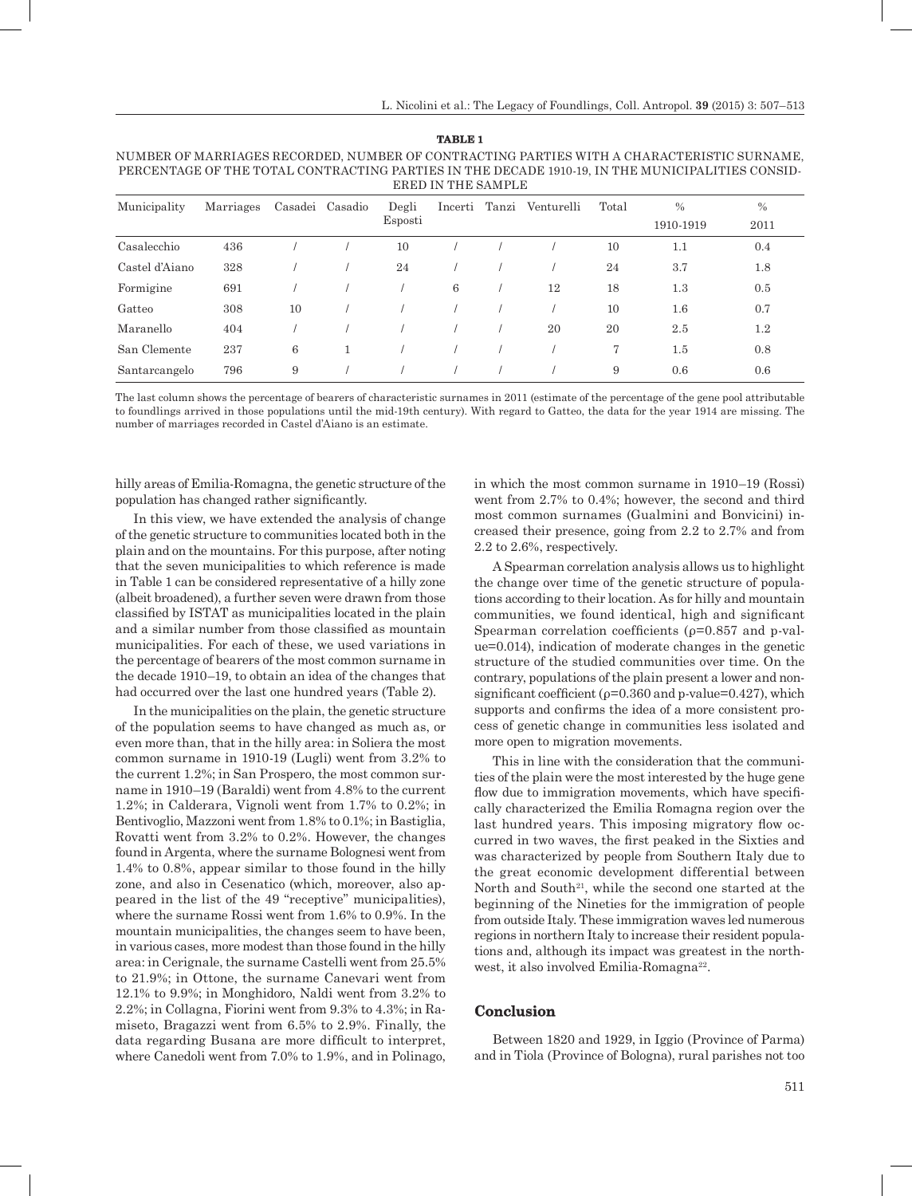| ERED IN THE SAMPLE |           |    |                 |         |         |       |            |                |               |         |  |
|--------------------|-----------|----|-----------------|---------|---------|-------|------------|----------------|---------------|---------|--|
| Municipality       | Marriages |    | Casadei Casadio | Degli   | Incerti | Tanzi | Venturelli | Total          | $\frac{0}{0}$ | $\%$    |  |
|                    |           |    |                 | Esposti |         |       |            |                | 1910-1919     | 2011    |  |
| Casalecchio        | 436       |    |                 | 10      |         |       |            | 10             | $1.1\,$       | 0.4     |  |
| Castel d'Aiano     | 328       |    |                 | 24      |         |       |            | 24             | 3.7           | 1.8     |  |
| Formigine          | 691       |    |                 |         | 6       |       | 12         | 18             | 1.3           | 0.5     |  |
| Gatteo             | 308       | 10 |                 |         |         |       |            | 10             | $1.6\,$       | 0.7     |  |
| Maranello          | 404       |    |                 |         |         |       | 20         | 20             | 2.5           | $1.2\,$ |  |
| San Clemente       | 237       | 6  |                 |         |         |       |            | $\overline{7}$ | $1.5\,$       | 0.8     |  |
| Santarcangelo      | 796       | 9  |                 |         |         |       |            | 9              | 0.6           | 0.6     |  |

NUMBER OF MARRIAGES RECORDED, NUMBER OF CONTRACTING PARTIES WITH A CHARACTERISTIC SURNAME, PERCENTAGE OF THE TOTAL CONTRACTING PARTIES IN THE DECADE 1910-19, IN THE MUNICIPALITIES CONSID-

**TABLE 1**

The last column shows the percentage of bearers of characteristic surnames in 2011 (estimate of the percentage of the gene pool attributable to foundlings arrived in those populations until the mid-19th century). With regard to Gatteo, the data for the year 1914 are missing. The number of marriages recorded in Castel d'Aiano is an estimate.

hilly areas of Emilia-Romagna, the genetic structure of the population has changed rather significantly.

In this view, we have extended the analysis of change of the genetic structure to communities located both in the plain and on the mountains. For this purpose, after noting that the seven municipalities to which reference is made in Table 1 can be considered representative of a hilly zone (albeit broadened), a further seven were drawn from those classified by ISTAT as municipalities located in the plain and a similar number from those classified as mountain municipalities. For each of these, we used variations in the percentage of bearers of the most common surname in the decade 1910–19, to obtain an idea of the changes that had occurred over the last one hundred years (Table 2).

In the municipalities on the plain, the genetic structure of the population seems to have changed as much as, or even more than, that in the hilly area: in Soliera the most common surname in 1910-19 (Lugli) went from 3.2% to the current 1.2%; in San Prospero, the most common surname in 1910–19 (Baraldi) went from 4.8% to the current 1.2%; in Calderara, Vignoli went from 1.7% to 0.2%; in Bentivoglio, Mazzoni went from 1.8% to 0.1%; in Bastiglia, Rovatti went from 3.2% to 0.2%. However, the changes found in Argenta, where the surname Bolognesi went from 1.4% to 0.8%, appear similar to those found in the hilly zone, and also in Cesenatico (which, moreover, also appeared in the list of the 49 "receptive" municipalities), where the surname Rossi went from 1.6% to 0.9%. In the mountain municipalities, the changes seem to have been, in various cases, more modest than those found in the hilly area: in Cerignale, the surname Castelli went from 25.5% to 21.9%; in Ottone, the surname Canevari went from 12.1% to 9.9%; in Monghidoro, Naldi went from 3.2% to 2.2%; in Collagna, Fiorini went from 9.3% to 4.3%; in Ramiseto, Bragazzi went from 6.5% to 2.9%. Finally, the data regarding Busana are more difficult to interpret, where Canedoli went from 7.0% to 1.9%, and in Polinago, in which the most common surname in 1910–19 (Rossi) went from 2.7% to 0.4%; however, the second and third most common surnames (Gualmini and Bonvicini) increased their presence, going from 2.2 to 2.7% and from 2.2 to 2.6%, respectively.

A Spearman correlation analysis allows us to highlight the change over time of the genetic structure of populations according to their location. As for hilly and mountain communities, we found identical, high and significant Spearman correlation coefficients ( $\rho$ =0.857 and p-value=0.014), indication of moderate changes in the genetic structure of the studied communities over time. On the contrary, populations of the plain present a lower and nonsignificant coefficient ( $\rho$ =0.360 and p-value=0.427), which supports and confirms the idea of a more consistent process of genetic change in communities less isolated and more open to migration movements.

This in line with the consideration that the communities of the plain were the most interested by the huge gene flow due to immigration movements, which have specifically characterized the Emilia Romagna region over the last hundred years. This imposing migratory flow occurred in two waves, the first peaked in the Sixties and was characterized by people from Southern Italy due to the great economic development differential between North and South<sup>21</sup>, while the second one started at the beginning of the Nineties for the immigration of people from outside Italy. These immigration waves led numerous regions in northern Italy to increase their resident populations and, although its impact was greatest in the northwest, it also involved Emilia-Romagna<sup>22</sup>.

#### **Conclusion**

Between 1820 and 1929, in Iggio (Province of Parma) and in Tiola (Province of Bologna), rural parishes not too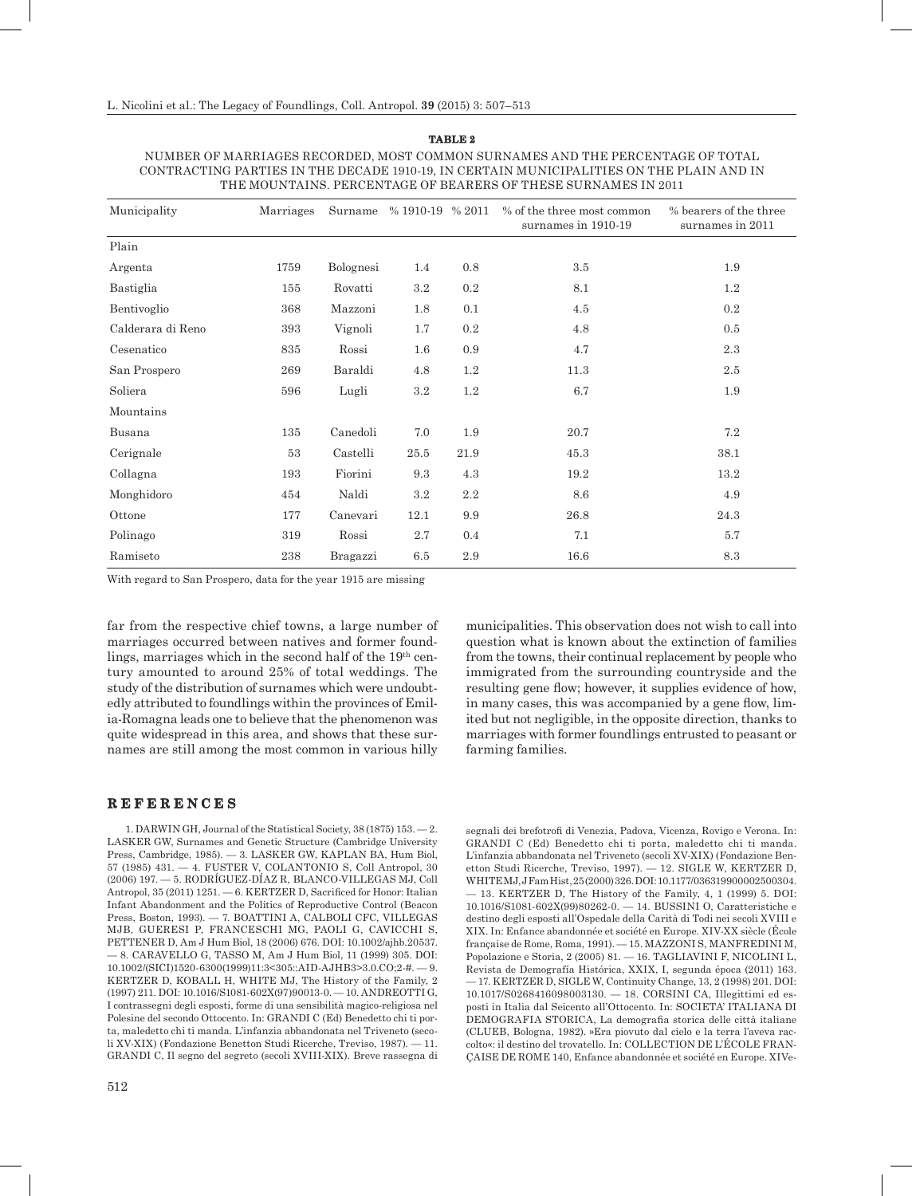| Municipality      | Marriages | Surname   | % 1910-19 % 2011 |         | % of the three most common<br>surnames in 1910-19 | % bearers of the three<br>surnames in 2011 |
|-------------------|-----------|-----------|------------------|---------|---------------------------------------------------|--------------------------------------------|
| Plain             |           |           |                  |         |                                                   |                                            |
| Argenta           | 1759      | Bolognesi | 1.4              | 0.8     | 3.5                                               | 1.9                                        |
| Bastiglia         | 155       | Rovatti   | 3.2              | 0.2     | 8.1                                               | 1.2                                        |
| Bentivoglio       | 368       | Mazzoni   | 1.8              | 0.1     | 4.5                                               | 0.2                                        |
| Calderara di Reno | 393       | Vignoli   | 1.7              | 0.2     | 4.8                                               | 0.5                                        |
| Cesenatico        | 835       | Rossi     | $1.6\,$          | 0.9     | 4.7                                               | 2.3                                        |
| San Prospero      | 269       | Baraldi   | 4.8              | 1.2     | 11.3                                              | 2.5                                        |
| Soliera           | 596       | Lugli     | $3.2\,$          | $1.2\,$ | 6.7                                               | 1.9                                        |
| Mountains         |           |           |                  |         |                                                   |                                            |
| Busana            | 135       | Canedoli  | 7.0              | 1.9     | 20.7                                              | 7.2                                        |
| Cerignale         | 53        | Castelli  | 25.5             | 21.9    | 45.3                                              | 38.1                                       |
| Collagna          | 193       | Fiorini   | 9.3              | $4.3\,$ | 19.2                                              | 13.2                                       |
| Monghidoro        | 454       | Naldi     | $3.2\,$          | 2.2     | 8.6                                               | 4.9                                        |
| Ottone            | 177       | Canevari  | 12.1             | 9.9     | 26.8                                              | 24.3                                       |
| Polinago          | 319       | Rossi     | 2.7              | 0.4     | 7.1                                               | 5.7                                        |
| Ramiseto          | 238       | Bragazzi  | 6.5              | 2.9     | 16.6                                              | 8.3                                        |

NUMBER OF MARRIAGES RECORDED, MOST COMMON SURNAMES AND THE PERCENTAGE OF TOTAL CONTRACTING PARTIES IN THE DECADE 1910-19, IN CERTAIN MUNICIPALITIES ON THE PLAIN AND IN THE MOUNTAINS. PERCENTAGE OF BEARERS OF THESE SURNAMES IN 2011

**TABLE 2**

With regard to San Prospero, data for the year 1915 are missing

far from the respective chief towns, a large number of marriages occurred between natives and former foundlings, marriages which in the second half of the  $19<sup>th</sup>$  century amounted to around 25% of total weddings. The study of the distribution of surnames which were undoubtedly attributed to foundlings within the provinces of Emilia-Romagna leads one to believe that the phenomenon was quite widespread in this area, and shows that these surnames are still among the most common in various hilly municipalities. This observation does not wish to call into question what is known about the extinction of families from the towns, their continual replacement by people who immigrated from the surrounding countryside and the resulting gene flow; however, it supplies evidence of how, in many cases, this was accompanied by a gene flow, limited but not negligible, in the opposite direction, thanks to marriages with former foundlings entrusted to peasant or farming families.

## **R E F E R E N C E S**

1. DARWIN GH, Journal of the Statistical Society, 38 (1875) 153. — 2. LASKER GW, Surnames and Genetic Structure (Cambridge University Press, Cambridge, 1985). — 3. LASKER GW, KAPLAN BA, Hum Biol, 57 (1985) 431. — 4. FUSTER V, COLANTONIO S, Coll Antropol, 30 (2006) 197. — 5. RODRÍGUEZ-DÍAZ R, BLANCO-VILLEGAS MJ, Coll Antropol, 35 (2011) 1251. — 6. KERTZER D, Sacrificed for Honor: Italian Infant Abandonment and the Politics of Reproductive Control (Beacon Press, Boston, 1993). — 7. BOATTINI A, CALBOLI CFC, VILLEGAS MJB, GUERESI P, FRANCESCHI MG, PAOLI G, CAVICCHI S, PETTENER D, Am J Hum Biol, 18 (2006) 676. DOI: 10.1002/ajhb.20537. — 8. CARAVELLO G, TASSO M, Am J Hum Biol, 11 (1999) 305. DOI: 10.1002/(SICI)1520-6300(1999)11:3<305::AID-AJHB3>3.0.CO;2-#. — 9. KERTZER D, KOBALL H, WHITE MJ, The History of the Family, 2 (1997) 211. DOI: 10.1016/S1081-602X(97)90013-0. — 10. ANDREOTTI G, I contrassegni degli esposti, forme di una sensibilità magico-religiosa nel Polesine del secondo Ottocento. In: GRANDI C (Ed) Benedetto chi ti porta, maledetto chi ti manda. L'infanzia abbandonata nel Triveneto (secoli XV-XIX) (Fondazione Benetton Studi Ricerche, Treviso, 1987). — 11. GRANDI C, Il segno del segreto (secoli XVIII-XIX). Breve rassegna di

segnali dei brefotrofi di Venezia, Padova, Vicenza, Rovigo e Verona. In: GRANDI C (Ed) Benedetto chi ti porta, maledetto chi ti manda. L'infanzia abbandonata nel Triveneto (secoli XV-XIX) (Fondazione Benetton Studi Ricerche, Treviso, 1997). — 12. SIGLE W, KERTZER D, WHITE MJ, J Fam Hist, 25 (2000) 326. DOI: 10.1177/036319900002500304.  $-13.$  KERTZER D, The History of the Family, 4, 1 (1999) 5. DOI: 10.1016/S1081-602X(99)80262-0. — 14. BUSSINI O, Caratteristiche e destino degli esposti all'Ospedale della Carità di Todi nei secoli XVIII e XIX. In: Enfance abandonnée et société en Europe. XIV-XX siècle (École française de Rome, Roma, 1991). — 15. MAZZONI S, MANFREDINI M, Popolazione e Storia, 2 (2005) 81. — 16. TAGLIAVINI F, NICOLINI L, Revista de Demografía Histórica, XXIX, I, segunda época (2011) 163. — 17. KERTZER D, SIGLE W, Continuity Change, 13, 2 (1998) 201. DOI: 10.1017/S0268416098003130. — 18. CORSINI CA, Illegittimi ed esposti in Italia dal Seicento all'Ottocento. In: SOCIETA' ITALIANA DI DEMOGRAFIA STORICA, La demografia storica delle città italiane (CLUEB, Bologna, 1982). »Era piovuto dal cielo e la terra l'aveva raccolto«: il destino del trovatello. In: COLLECTION DE L'ÉCOLE FRAN-ÇAISE DE ROME 140, Enfance abandonnée et société en Europe. XIVe